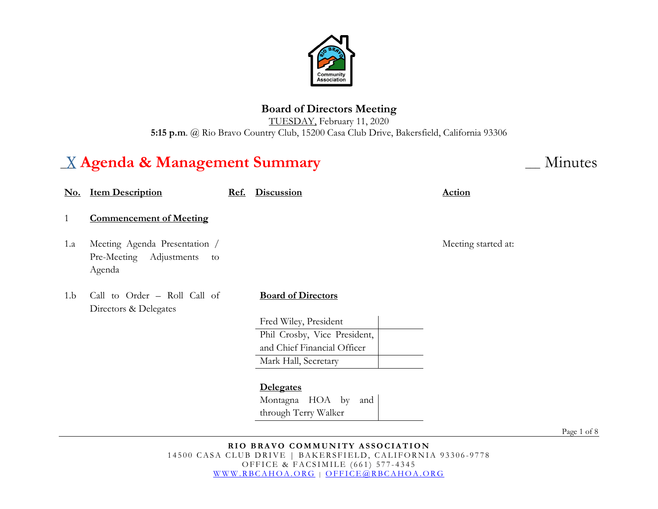

## **Board of Directors Meeting**

TUESDAY, February 11, 2020 **5:15 p.m**. @ Rio Bravo Country Club, 15200 Casa Club Drive, Bakersfield, California 93306

# \_\_\_ **Agenda & Management Summary** \_\_\_ Minutes

| <u>No.</u> | <b>Item Description</b>                                                  | Ref. | <b>Discussion</b>            | <b>Action</b>       |
|------------|--------------------------------------------------------------------------|------|------------------------------|---------------------|
| 1          | <b>Commencement of Meeting</b>                                           |      |                              |                     |
| 1.a        | Meeting Agenda Presentation /<br>Pre-Meeting Adjustments<br>to<br>Agenda |      |                              | Meeting started at: |
| 1.b        | Call to Order - Roll Call of<br>Directors & Delegates                    |      | <b>Board of Directors</b>    |                     |
|            |                                                                          |      | Fred Wiley, President        |                     |
|            |                                                                          |      | Phil Crosby, Vice President, |                     |
|            |                                                                          |      | and Chief Financial Officer  |                     |
|            |                                                                          |      | Mark Hall, Secretary         |                     |
|            |                                                                          |      |                              |                     |
|            |                                                                          |      | <b>Delegates</b>             |                     |
|            |                                                                          |      | Montagna HOA by<br>and       |                     |
|            |                                                                          |      | through Terry Walker         |                     |

Page 1 of 8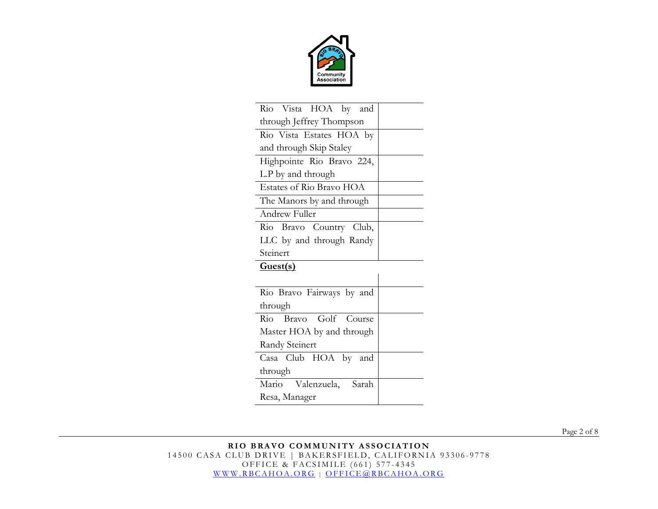

| Rio Vista HOA by and      |  |  |  |  |
|---------------------------|--|--|--|--|
| through Jeffrey Thompson  |  |  |  |  |
| Rio Vista Estates HOA by  |  |  |  |  |
| and through Skip Staley   |  |  |  |  |
| Highpointe Rio Bravo 224, |  |  |  |  |
| L.P by and through        |  |  |  |  |
| Estates of Rio Bravo HOA  |  |  |  |  |
| The Manors by and through |  |  |  |  |
| Andrew Fuller             |  |  |  |  |
| Rio Bravo Country Club,   |  |  |  |  |
| LLC by and through Randy  |  |  |  |  |
| Steinert                  |  |  |  |  |
| Guest(s)                  |  |  |  |  |
|                           |  |  |  |  |
| Rio Bravo Fairways by and |  |  |  |  |
| through                   |  |  |  |  |
| Rio Bravo Golf Course     |  |  |  |  |
| Master HOA by and through |  |  |  |  |
| Randy Steinert            |  |  |  |  |
| Casa Club HOA by and      |  |  |  |  |
| through                   |  |  |  |  |
| Mario Valenzuela, Sarah   |  |  |  |  |
| Resa, Manager             |  |  |  |  |

Page 2 of 8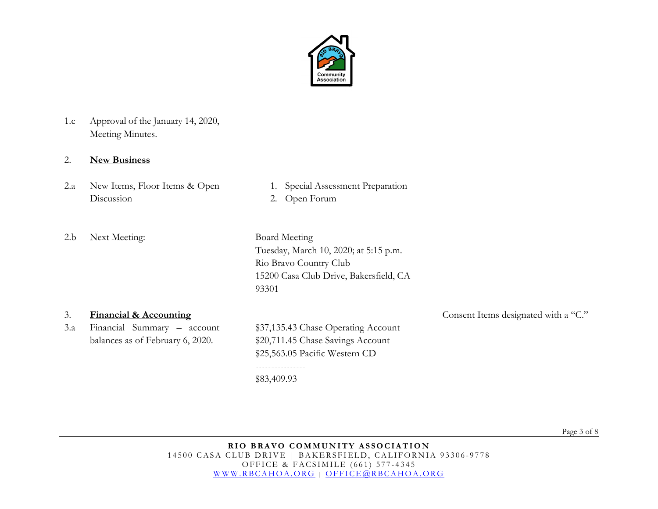

1.c Approval of the January 14, 2020, Meeting Minutes.

### 2. **New Business**

- 2.a New Items, Floor Items & Open Discussion
- 1. Special Assessment Preparation
- 2. Open Forum
- 2.b Next Meeting: Board Meeting

Tuesday, March 10, 2020; at 5:15 p.m. Rio Bravo Country Club 15200 Casa Club Drive, Bakersfield, CA 93301

3.a Financial Summary – account balances as of February 6, 2020.

\$37,135.43 Chase Operating Account \$20,711.45 Chase Savings Account \$25,563.05 Pacific Western CD

---------------- \$83,409.93

3. **Financial & Accounting** Consent Items designated with a "C."

Page 3 of 8

**RIO BRAVO COMMUNITY ASSOCIATION** 14500 CASA CLUB DRIVE | BAKERSFIELD, CALIFORNIA 93306-9778 OFFICE & FACSIMILE (661) 577 - 4345 [WWW.RBCAHOA.ORG](http://www.rbcahoa.org/) | [OFFICE@RBCAHOA.ORG](mailto:OFFICE@RBCAHOA.ORG)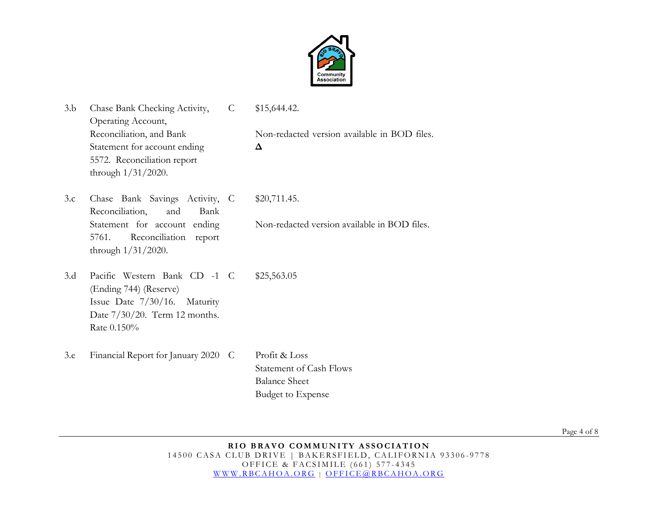

| 3.b | Chase Bank Checking Activity,<br>Operating Account,                                                                                       | $\mathsf{C}$ | \$15,644.42.                                                                                        |
|-----|-------------------------------------------------------------------------------------------------------------------------------------------|--------------|-----------------------------------------------------------------------------------------------------|
|     | Reconciliation, and Bank<br>Statement for account ending<br>5572. Reconciliation report<br>through $1/31/2020$ .                          |              | Non-redacted version available in BOD files.<br>Δ                                                   |
| 3.c | Chase Bank Savings Activity, C<br>Reconciliation,<br>and<br>Bank                                                                          |              | \$20,711.45.                                                                                        |
|     | Statement for account ending<br>Reconciliation<br>5761.<br>report<br>through $1/31/2020$ .                                                |              | Non-redacted version available in BOD files.                                                        |
| 3.d | Pacific Western Bank CD -1 C<br>(Ending 744) (Reserve)<br>Issue Date 7/30/16. Maturity<br>Date $7/30/20$ . Term 12 months.<br>Rate 0.150% |              | \$25,563.05                                                                                         |
| 3.e | Financial Report for January 2020 C                                                                                                       |              | Profit & Loss<br><b>Statement of Cash Flows</b><br><b>Balance Sheet</b><br><b>Budget to Expense</b> |

Page 4 of 8

#### **RIO BRAVO COMMUNITY ASSOCIATION** 14500 CASA CLUB DRIVE | BAKERSFIELD, CALIFORNIA 93306-9778 OFFICE & FACSIMILE (661) 577 - 4345 [WWW.RBCAHOA.ORG](http://www.rbcahoa.org/) | [OFFICE@RBCAHOA.ORG](mailto:OFFICE@RBCAHOA.ORG)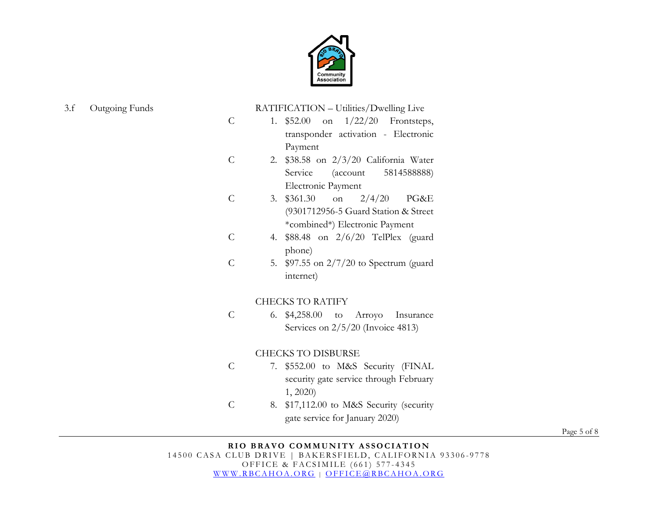

#### 3.f Outgoing Funds

RATIFICATION – Utilities/Dwelling Live

- C 1. \$52.00 on 1/22/20 Frontsteps, transponder activation - Electronic Payment
- $\mathcal{C}$ 2. \$38.58 on 2/3/20 California Water Service (account 5814588888) Electronic Payment
- $\overline{C}$ 3. \$361.30 on 2/4/20 PG&E (9301712956-5 Guard Station & Street \*combined\*) Electronic Payment
- C 4. \$88.48 on 2/6/20 TelPlex (guard phone)
- C 5. \$97.55 on 2/7/20 to Spectrum (guard internet)

#### CHECKS TO RATIFY

C 6. \$4,258.00 to Arroyo Insurance Services on  $2/5/20$  (Invoice 4813)

#### CHECKS TO DISBURSE

- $\overline{C}$ 7. \$552.00 to M&S Security (FINAL security gate service through February 1, 2020)
- C 8. \$17,112.00 to M&S Security (security gate service for January 2020)

Page 5 of 8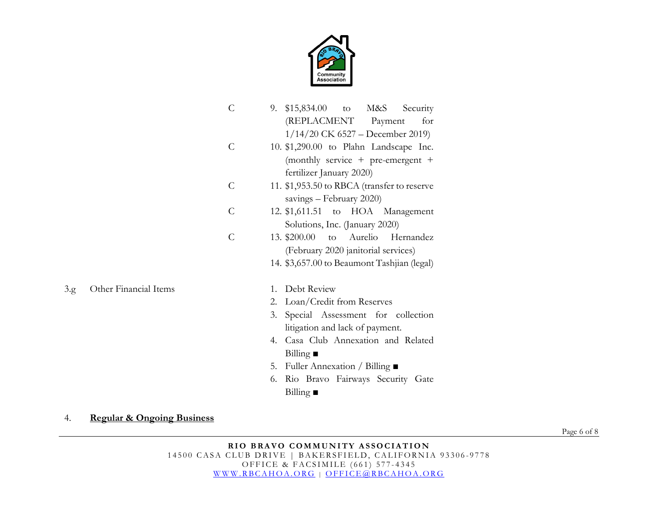

|      |                       | $\mathcal{C}$ | $$15,834.00$ to M&S<br>9.<br>Security<br>(REPLACMENT Payment<br>for<br>$1/14/20$ CK 6527 – December 2019)                     |
|------|-----------------------|---------------|-------------------------------------------------------------------------------------------------------------------------------|
|      |                       | $\mathcal{C}$ | 10. \$1,290.00 to Plahn Landscape Inc.<br>(monthly service $+$ pre-emergent $+$<br>fertilizer January 2020)                   |
|      |                       | $\mathcal{C}$ | 11. \$1,953.50 to RBCA (transfer to reserve<br>savings - February 2020)                                                       |
|      |                       | $\mathcal{C}$ | 12. \$1,611.51 to HOA Management<br>Solutions, Inc. (January 2020)                                                            |
|      |                       | $\mathcal{C}$ | to Aurelio<br>13. \$200.00<br>Hernandez<br>(February 2020 janitorial services)<br>14. \$3,657.00 to Beaumont Tashjian (legal) |
|      |                       |               |                                                                                                                               |
| 3.g. | Other Financial Items |               | Debt Review<br>$1_{-}$                                                                                                        |
|      |                       |               | 2. Loan/Credit from Reserves                                                                                                  |
|      |                       |               | Special Assessment for collection<br>3.<br>litigation and lack of payment.                                                    |
|      |                       |               | 4. Casa Club Annexation and Related<br>Billing $\blacksquare$                                                                 |
|      |                       |               | 5. Fuller Annexation / Billing $\blacksquare$                                                                                 |
|      |                       |               | Rio Bravo Fairways Security Gate<br>6.<br>Billing $\blacksquare$                                                              |

4. **Regular & Ongoing Business**

Page 6 of 8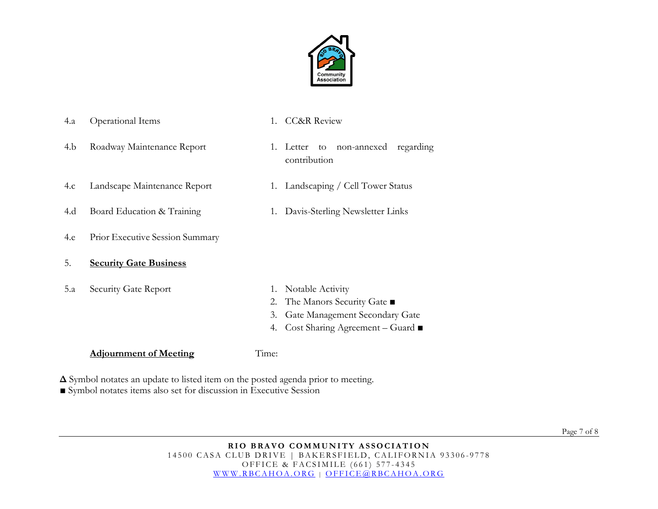

4.b Roadway Maintenance Report 1. Letter to non-annexed regarding contribution 4.c Landscape Maintenance Report 1. Landscaping / Cell Tower Status 4.d Board Education & Training 1. Davis-Sterling Newsletter Links 4.e Prior Executive Session Summary 5. **Security Gate Business** 5.a Security Gate Report 1. Notable Activity 2. The Manors Security Gate ■ 3. Gate Management Secondary Gate 4. Cost Sharing Agreement – Guard ■

#### **Adjournment of Meeting** Time:

**Δ** Symbol notates an update to listed item on the posted agenda prior to meeting.

4.a Operational Items 1. CC&R Review

■ Symbol notates items also set for discussion in Executive Session

Page 7 of 8

#### **RIO BRAVO COMMUNITY ASSOCIATION** 14500 CASA CLUB DRIVE | BAKERSFIELD, CALIFORNIA 93306-9778 OFFICE & FACSIMILE (661) 577 - 4345 [WWW.RBCAHOA.ORG](http://www.rbcahoa.org/) | [OFFICE@RBCAHOA.ORG](mailto:OFFICE@RBCAHOA.ORG)